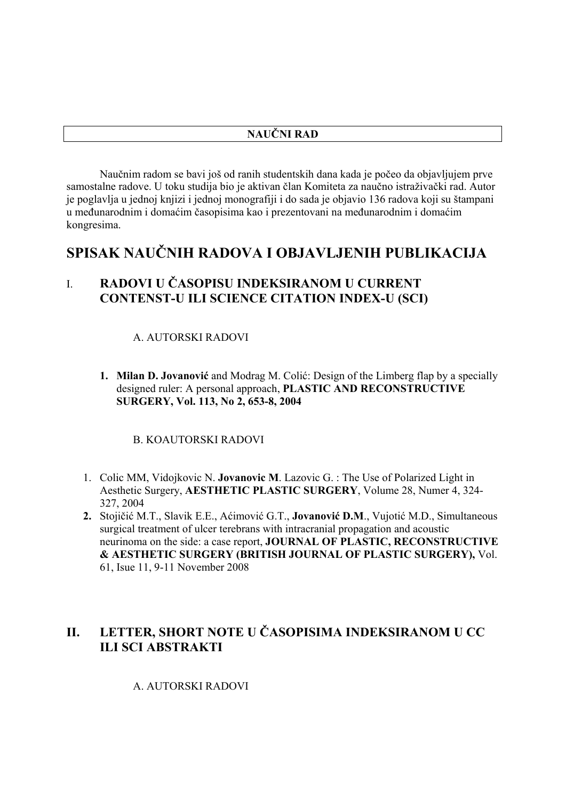Naučnim radom se bavi još od ranih studentskih dana kada je počeo da objavljujem prve samostalne radove. U toku studija bio je aktivan član Komiteta za naučno istraživački rad. Autor je poglavlja u jednoj knjizi i jednoj monografiji i do sada je objavio 136 radova koji su štampani u međunarodnim i domaćim časopisima kao i prezentovani na međunarodnim i domaćim kongresima.

# **SPISAK NAUČNIH RADOVA I OBJAVLJENIH PUBLIKACIJA**

# I. **RADOVI U ČASOPISU INDEKSIRANOM U CURRENT CONTENST-U ILI SCIENCE CITATION INDEX-U (SCI)**

#### A. AUTORSKI RADOVI

**1. Milan D. Jovanović** and Modrag M. Colić: Design of the Limberg flap by a specially designed ruler: A personal approach, **PLASTIC AND RECONSTRUCTIVE SURGERY, Vol. 113, No 2, 653-8, 2004**

#### B. KOAUTORSKI RADOVI

- 1. Colic MM, Vidojkovic N. **Jovanovic M**. Lazovic G. : The Use of Polarized Light in Aesthetic Surgery, **AESTHETIC PLASTIC SURGERY**, Volume 28, Numer 4, 324- 327, 2004
- **2.** Stojičić M.T., Slavik E.E., Aćimović G.T., **Jovanović D.M**., Vujotić M.D., Simultaneous surgical treatment of ulcer terebrans with intracranial propagation and acoustic neurinoma on the side: a case report, **JOURNAL OF PLASTIC, RECONSTRUCTIVE & AESTHETIC SURGERY (BRITISH JOURNAL OF PLASTIC SURGERY),** Vol. 61, Isue 11, 9-11 November 2008

# **II. LETTER, SHORT NOTE U ČASOPISIMA INDEKSIRANOM U CC ILI SCI ABSTRAKTI**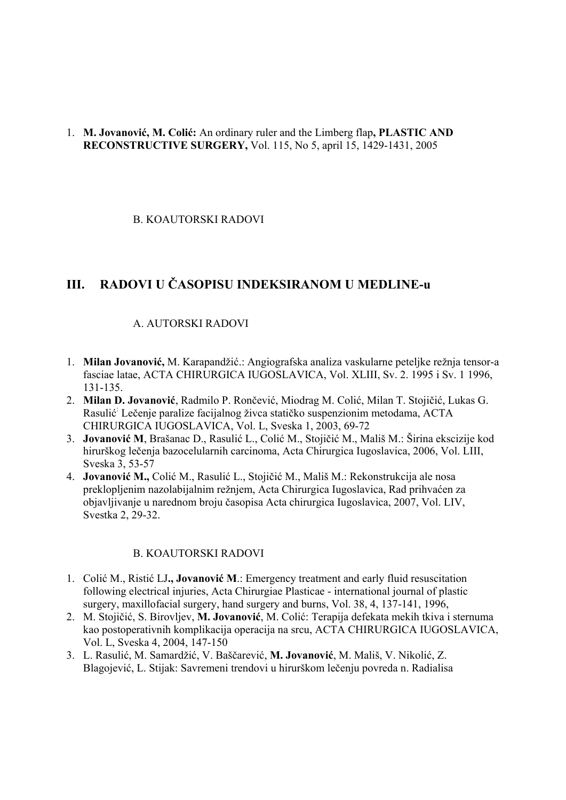#### 1. **M. Jovanović, M. Colić:** An ordinary ruler and the Limberg flap**, PLASTIC AND RECONSTRUCTIVE SURGERY,** Vol. 115, No 5, april 15, 1429-1431, 2005

B. KOAUTORSKI RADOVI

# **III. RADOVI U ČASOPISU INDEKSIRANOM U MEDLINE-u**

#### A. AUTORSKI RADOVI

- 1. **Milan Jovanović,** M. Karapandžić.: Angiografska analiza vaskularne peteljke režnja tensor-a fasciae latae, ACTA CHIRURGICA IUGOSLAVICA, Vol. XLIII, Sv. 2. 1995 i Sv. 1 1996, 131-135.
- 2. **Milan D. Jovanović**, Radmilo P. Rončević, Miodrag M. Colić, Milan T. Stojičić, Lukas G. Rasulić : Lečenje paralize facijalnog živca statičko suspenzionim metodama, ACTA CHIRURGICA IUGOSLAVICA, Vol. L, Sveska 1, 2003, 69-72
- 3. **Jovanović M**, Brašanac D., Rasulić L., Colić M., Stojičić M., Mališ M.: Širina ekscizije kod hirurškog lečenja bazocelularnih carcinoma, Acta Chirurgica Iugoslavica, 2006, Vol. LIII, Sveska 3, 53-57
- 4. **Jovanović M.,** Colić M., Rasulić L., Stojičić M., Mališ M.: Rekonstrukcija ale nosa preklopljenim nazolabijalnim režnjem, Acta Chirurgica Iugoslavica, Rad prihvaćen za objavljivanje u narednom broju časopisa Acta chirurgica Iugoslavica, 2007, Vol. LIV, Svestka 2, 29-32.

#### B. KOAUTORSKI RADOVI

- 1. Colić M., Ristić LJ**., Jovanović M**.: Emergency treatment and early fluid resuscitation following electrical injuries, Acta Chirurgiae Plasticae - international journal of plastic surgery, maxillofacial surgery, hand surgery and burns, Vol. 38, 4, 137-141, 1996,
- 2. M. Stojičić, S. Birovljev, **M. Jovanović**, M. Colić: Terapija defekata mekih tkiva i sternuma kao postoperativnih komplikacija operacija na srcu, ACTA CHIRURGICA IUGOSLAVICA, Vol. L, Sveska 4, 2004, 147-150
- 3. L. Rasulić, M. Samardžić, V. Baščarević, **M. Jovanović**, M. Mališ, V. Nikolić, Z. Blagojević, L. Stijak: Savremeni trendovi u hirurškom lečenju povreda n. Radialisa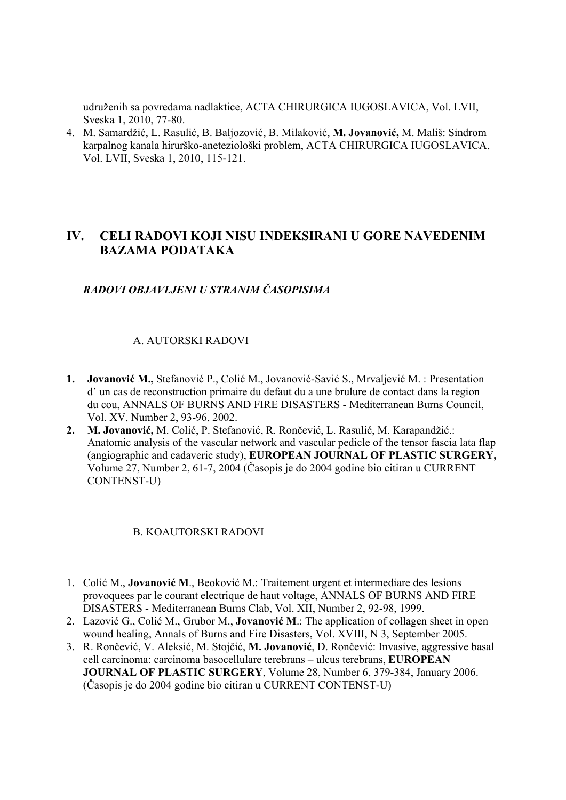udruženih sa povredama nadlaktice, ACTA CHIRURGICA IUGOSLAVICA, Vol. LVII, Sveska 1, 2010, 77-80.

4. M. Samardžić, L. Rasulić, B. Baljozović, B. Milaković, **M. Jovanović,** M. Mališ: Sindrom karpalnog kanala hirurško-aneteziološki problem, ACTA CHIRURGICA IUGOSLAVICA, Vol. LVII, Sveska 1, 2010, 115-121.

# **IV. CELI RADOVI KOJI NISU INDEKSIRANI U GORE NAVEDENIM BAZAMA PODATAKA**

#### *RADOVI OBJAVLJENI U STRANIM ČASOPISIMA*

#### A. AUTORSKI RADOVI

- **1. Jovanović M.,** Stefanović P., Colić M., Jovanović-Savić S., Mrvaljević M. : Presentation d' un cas de reconstruction primaire du defaut du a une brulure de contact dans la region du cou, ANNALS OF BURNS AND FIRE DISASTERS - Mediterranean Burns Council, Vol. XV, Number 2, 93-96, 2002.
- **2. M. Jovanović,** M. Colić, P. Stefanović, R. Rončević, L. Rasulić, M. Karapandžić.: Anatomic analysis of the vascular network and vascular pedicle of the tensor fascia lata flap (angiographic and cadaveric study), **EUROPEAN JOURNAL OF PLASTIC SURGERY,** Volume 27, Number 2, 61-7, 2004 (Časopis je do 2004 godine bio citiran u CURRENT CONTENST-U)

#### B. KOAUTORSKI RADOVI

- 1. Colić M., **Jovanović M**., Beoković M.: Traitement urgent et intermediare des lesions provoquees par le courant electrique de haut voltage, ANNALS OF BURNS AND FIRE DISASTERS - Mediterranean Burns Clab, Vol. XII, Number 2, 92-98, 1999.
- 2. Lazović G., Colić M., Grubor M., **Jovanović M**.: The application of collagen sheet in open wound healing, Annals of Burns and Fire Disasters, Vol. XVIII, N 3, September 2005.
- 3. R. Rončević, V. Aleksić, M. Stojčić, **M. Jovanović**, D. Rončević: Invasive, aggressive basal cell carcinoma: carcinoma basocellulare terebrans – ulcus terebrans, **EUROPEAN JOURNAL OF PLASTIC SURGERY**, Volume 28, Number 6, 379-384, January 2006. (Časopis je do 2004 godine bio citiran u CURRENT CONTENST-U)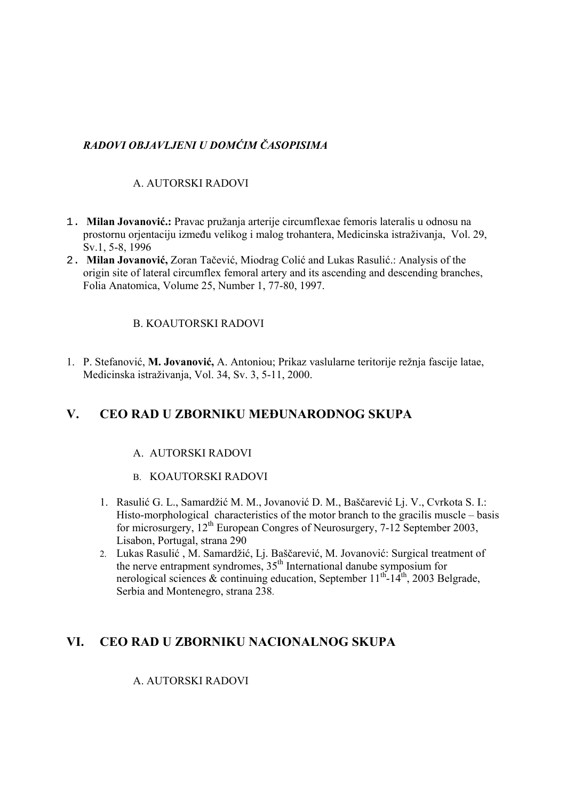# *RADOVI OBJAVLJENI U DOMĆIM ČASOPISIMA*

# A. AUTORSKI RADOVI

- 1. **Milan Jovanović.:** Pravac pružanja arterije circumflexae femoris lateralis u odnosu na prostornu orjentaciju između velikog i malog trohantera, Medicinska istraživanja, Vol. 29, Sv.1, 5-8, 1996
- 2. **Milan Jovanović,** Zoran Tačević, Miodrag Colić and Lukas Rasulić.: Analysis of the origin site of lateral circumflex femoral artery and its ascending and descending branches, Folia Anatomica, Volume 25, Number 1, 77-80, 1997.

#### B. KOAUTORSKI RADOVI

1. P. Stefanović, **M. Jovanović,** A. Antoniou; Prikaz vaslularne teritorije režnja fascije latae, Medicinska istraživanja, Vol. 34, Sv. 3, 5-11, 2000.

# **V. CEO RAD U ZBORNIKU MEĐUNARODNOG SKUPA**

#### A. AUTORSKI RADOVI

- B. KOAUTORSKI RADOVI
- 1. Rasulić G. L., Samardžić M. M., Jovanović D. M., Baščarević Lj. V., Cvrkota S. I.: Histo-morphological characteristics of the motor branch to the gracilis muscle – basis for microsurgery,  $12<sup>th</sup>$  European Congres of Neurosurgery, 7-12 September 2003, Lisabon, Portugal, strana 290
- 2. Lukas Rasulić , M. Samardžić, Lj. Baščarević, M. Jovanović: Surgical treatment of the nerve entrapment syndromes,  $35<sup>th</sup>$  International danube symposium for nerological sciences  $\&$  continuing education, September 11<sup>th</sup>-14<sup>th</sup>, 2003 Belgrade, Serbia and Montenegro, strana 238.

# **VI. CEO RAD U ZBORNIKU NACIONALNOG SKUPA**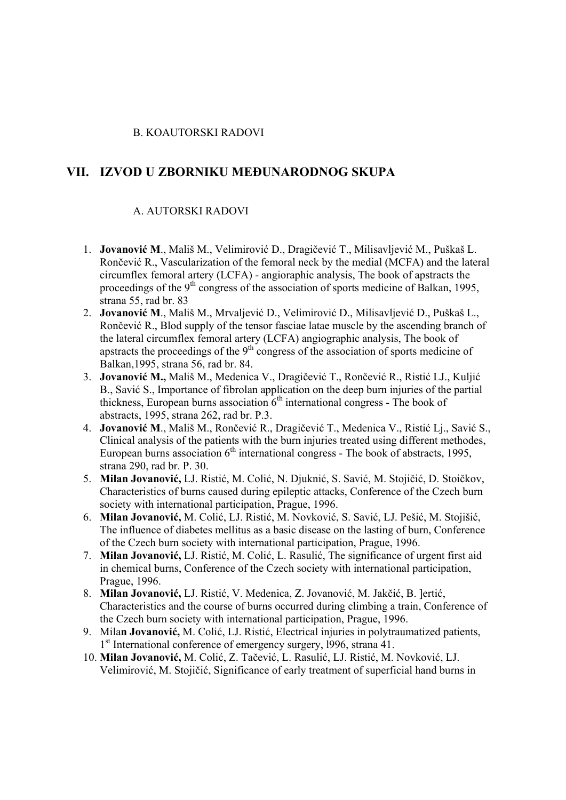#### B. KOAUTORSKI RADOVI

#### **VII. IZVOD U ZBORNIKU MEĐUNARODNOG SKUPA**

- 1. **Jovanović M**., Mališ M., Velimirović D., Dragičević T., Milisavljević M., Puškaš L. Rončević R., Vascularization of the femoral neck by the medial (MCFA) and the lateral circumflex femoral artery (LCFA) - angioraphic analysis, The book of apstracts the proceedings of the  $9<sup>th</sup>$  congress of the association of sports medicine of Balkan, 1995, strana 55, rad br. 83
- 2. **Jovanović M**., Mališ M., Mrvaljević D., Velimirović D., Milisavljević D., Puškaš L., Rončević R., Blod supply of the tensor fasciae latae muscle by the ascending branch of the lateral circumflex femoral artery (LCFA) angiographic analysis, The book of apstracts the proceedings of the 9<sup>th</sup> congress of the association of sports medicine of Balkan,1995, strana 56, rad br. 84.
- 3. **Jovanović M.,** Mališ M., Medenica V., Dragičević T., Rončević R., Ristić LJ., Kuljić B., Savić S., Importance of fibrolan application on the deep burn injuries of the partial thickness. European burns association  $6<sup>th</sup>$  international congress - The book of abstracts, 1995, strana 262, rad br. P.3.
- 4. **Jovanović M**., Mališ M., Rončević R., Dragičević T., Medenica V., Ristić Lj., Savić S., Clinical analysis of the patients with the burn injuries treated using different methodes, European burns association  $6<sup>th</sup>$  international congress - The book of abstracts, 1995, strana 290, rad br. P. 30.
- 5. **Milan Jovanović,** LJ. Ristić, M. Colić, N. Djuknić, S. Savić, M. Stojičić, D. Stoičkov, Characteristics of burns caused during epileptic attacks, Conference of the Czech burn society with international participation, Prague, 1996.
- 6. **Milan Jovanović,** M. Colić, LJ. Ristić, M. Novković, S. Savić, LJ. Pešić, M. Stojišić, The influence of diabetes mellitus as a basic disease on the lasting of burn, Conference of the Czech burn society with international participation, Prague, 1996.
- 7. **Milan Jovanović,** LJ. Ristić, M. Colić, L. Rasulić, The significance of urgent first aid in chemical burns, Conference of the Czech society with international participation, Prague, 1996.
- 8. **Milan Jovanović,** LJ. Ristić, V. Medenica, Z. Jovanović, M. Jakčić, B. ]ertić, Characteristics and the course of burns occurred during climbing a train, Conference of the Czech burn society with international participation, Prague, 1996.
- 9. Mila**n Jovanović,** M. Colić, LJ. Ristić, Electrical injuries in polytraumatized patients, 1<sup>st</sup> International conference of emergency surgery, 1996, strana 41.
- 10. **Milan Jovanović,** M. Colić, Z. Tačević, L. Rasulić, LJ. Ristić, M. Novković, LJ. Velimirović, M. Stojičić, Significance of early treatment of superficial hand burns in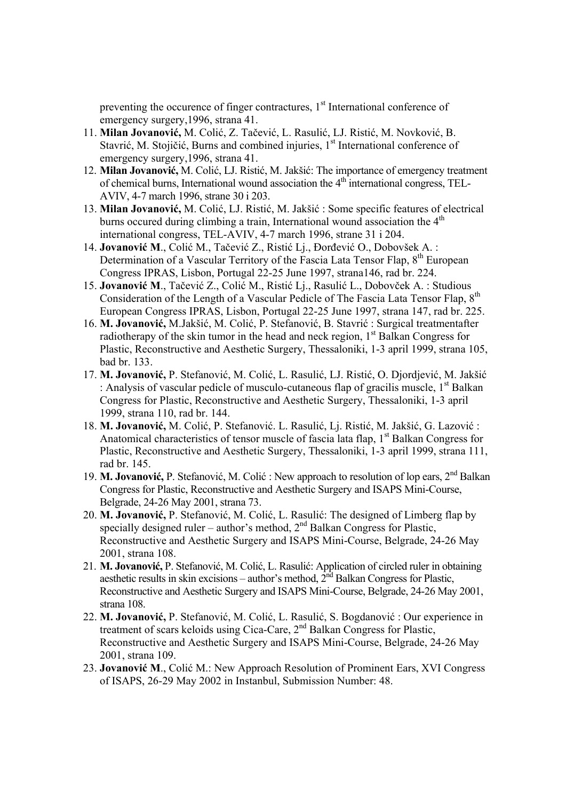preventing the occurence of finger contractures,  $1<sup>st</sup>$  International conference of emergency surgery,1996, strana 41.

- 11. **Milan Jovanović,** M. Colić, Z. Tačević, L. Rasulić, LJ. Ristić, M. Novković, B. Stavrić, M. Stojičić, Burns and combined injuries, 1<sup>st</sup> International conference of emergency surgery,1996, strana 41.
- 12. **Milan Jovanović,** M. Colić, LJ. Ristić, M. Jakšić: The importance of emergency treatment of chemical burns, International wound association the  $4<sup>th</sup>$  international congress, TEL-AVIV, 4-7 march 1996, strane 30 i 203.
- 13. **Milan Jovanović,** M. Colić, LJ. Ristić, M. Jakšić : Some specific features of electrical burns occured during climbing a train, International wound association the 4<sup>th</sup> international congress, TEL-AVIV, 4-7 march 1996, strane 31 i 204.
- 14. **Jovanović M**., Colić M., Tačević Z., Ristić Lj., Đorđević O., Dobovšek A. : Determination of a Vascular Territory of the Fascia Lata Tensor Flap, 8<sup>th</sup> European Congress IPRAS, Lisbon, Portugal 22-25 June 1997, strana146, rad br. 224.
- 15. **Jovanović M**., Tačević Z., Colić M., Ristić Lj., Rasulić L., Dobovček A. : Studious Consideration of the Length of a Vascular Pedicle of The Fascia Lata Tensor Flap, 8<sup>th</sup> European Congress IPRAS, Lisbon, Portugal 22-25 June 1997, strana 147, rad br. 225.
- 16. **M. Jovanović,** M.Jakšić, M. Colić, P. Stefanović, B. Stavrić : Surgical treatmentafter radiotherapy of the skin tumor in the head and neck region,  $1<sup>st</sup>$  Balkan Congress for Plastic, Reconstructive and Aesthetic Surgery, Thessaloniki, 1-3 april 1999, strana 105, bad br. 133.
- 17. **M. Jovanović,** P. Stefanović, M. Colić, L. Rasulić, LJ. Ristić, O. Djordjević, M. Jakšić : Analysis of vascular pedicle of musculo-cutaneous flap of gracilis muscle,  $1<sup>st</sup>$  Balkan Congress for Plastic, Reconstructive and Aesthetic Surgery, Thessaloniki, 1-3 april 1999, strana 110, rad br. 144.
- 18. **M. Jovanović,** M. Colić, P. Stefanović. L. Rasulić, Lj. Ristić, M. Jakšić, G. Lazović : Anatomical characteristics of tensor muscle of fascia lata flap,  $1<sup>st</sup>$  Balkan Congress for Plastic, Reconstructive and Aesthetic Surgery, Thessaloniki, 1-3 april 1999, strana 111, rad br. 145.
- 19. **M. Jovanović,** P. Stefanović, M. Colić : New approach to resolution of lop ears, 2nd Balkan Congress for Plastic, Reconstructive and Aesthetic Surgery and ISAPS Mini-Course, Belgrade, 24-26 May 2001, strana 73.
- 20. **M. Jovanović,** P. Stefanović, M. Colić, L. Rasulić: The designed of Limberg flap by specially designed ruler – author's method,  $2<sup>nd</sup>$  Balkan Congress for Plastic, Reconstructive and Aesthetic Surgery and ISAPS Mini-Course, Belgrade, 24-26 May 2001, strana 108.
- 21. **M. Jovanović,** P. Stefanović, M. Colić, L. Rasulić: Application of circled ruler in obtaining aesthetic results in skin excisions – author's method,  $2<sup>nd</sup>$  Balkan Congress for Plastic, Reconstructive and Aesthetic Surgery and ISAPS Mini-Course, Belgrade, 24-26 May 2001, strana 108.
- 22. **M. Jovanović,** P. Stefanović, M. Colić, L. Rasulić, S. Bogdanović : Our experience in treatment of scars keloids using Cica-Care, 2nd Balkan Congress for Plastic, Reconstructive and Aesthetic Surgery and ISAPS Mini-Course, Belgrade, 24-26 May 2001, strana 109.
- 23. **Jovanović M**., Colić M.: New Approach Resolution of Prominent Ears, XVI Congress of ISAPS, 26-29 May 2002 in Instanbul, Submission Number: 48.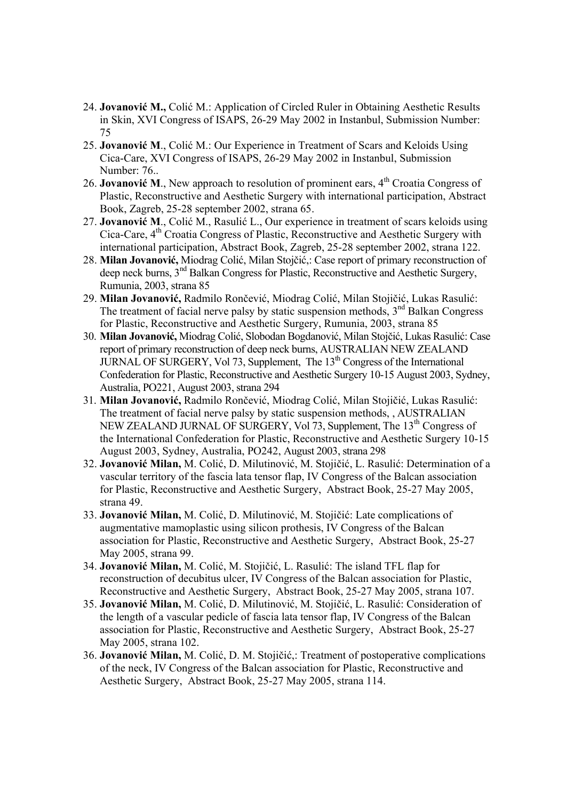- 24. **Jovanović M.,** Colić M.: Application of Circled Ruler in Obtaining Aesthetic Results in Skin, XVI Congress of ISAPS, 26-29 May 2002 in Instanbul, Submission Number: 75
- 25. **Jovanović M**., Colić M.: Our Experience in Treatment of Scars and Keloids Using Cica-Care, XVI Congress of ISAPS, 26-29 May 2002 in Instanbul, Submission Number: 76..
- 26. **Jovanović M**., New approach to resolution of prominent ears, 4th Croatia Congress of Plastic, Reconstructive and Aesthetic Surgery with international participation, Abstract Book, Zagreb, 25-28 september 2002, strana 65.
- 27. **Jovanović M**., Colić M., Rasulić L., Our experience in treatment of scars keloids using Cica-Care, 4<sup>th</sup> Croatia Congress of Plastic, Reconstructive and Aesthetic Surgery with international participation, Abstract Book, Zagreb, 25-28 september 2002, strana 122.
- 28. **Milan Jovanović,** Miodrag Colić, Milan Stojčić,: Case report of primary reconstruction of deep neck burns, 3nd Balkan Congress for Plastic, Reconstructive and Aesthetic Surgery, Rumunia, 2003, strana 85
- 29. **Milan Jovanović,** Radmilo Rončević, Miodrag Colić, Milan Stojičić, Lukas Rasulić: The treatment of facial nerve palsy by static suspension methods, 3<sup>nd</sup> Balkan Congress for Plastic, Reconstructive and Aesthetic Surgery, Rumunia, 2003, strana 85
- 30. **Milan Jovanović,** Miodrag Colić, Slobodan Bogdanović, Milan Stojčić, Lukas Rasulić: Case report of primary reconstruction of deep neck burns, AUSTRALIAN NEW ZEALAND JURNAL OF SURGERY, Vol 73, Supplement, The  $13<sup>th</sup>$  Congress of the International Confederation for Plastic, Reconstructive and Aesthetic Surgery 10-15 August 2003, Sydney, Australia, PO221, August 2003, strana 294
- 31. **Milan Jovanović,** Radmilo Rončević, Miodrag Colić, Milan Stojičić, Lukas Rasulić: The treatment of facial nerve palsy by static suspension methods, , AUSTRALIAN NEW ZEALAND JURNAL OF SURGERY, Vol 73, Supplement, The 13<sup>th</sup> Congress of the International Confederation for Plastic, Reconstructive and Aesthetic Surgery 10-15 August 2003, Sydney, Australia, PO242, August 2003, strana 298
- 32. **Jovanović Milan,** M. Colić, D. Milutinović, M. Stojičić, L. Rasulić: Determination of a vascular territory of the fascia lata tensor flap, IV Congress of the Balcan association for Plastic, Reconstructive and Aesthetic Surgery, Abstract Book, 25-27 May 2005, strana 49.
- 33. **Jovanović Milan,** M. Colić, D. Milutinović, M. Stojičić: Late complications of augmentative mamoplastic using silicon prothesis, IV Congress of the Balcan association for Plastic, Reconstructive and Aesthetic Surgery, Abstract Book, 25-27 May 2005, strana 99.
- 34. **Jovanović Milan,** M. Colić, M. Stojičić, L. Rasulić: The island TFL flap for reconstruction of decubitus ulcer, IV Congress of the Balcan association for Plastic, Reconstructive and Aesthetic Surgery, Abstract Book, 25-27 May 2005, strana 107.
- 35. **Jovanović Milan,** M. Colić, D. Milutinović, M. Stojičić, L. Rasulić: Consideration of the length of a vascular pedicle of fascia lata tensor flap, IV Congress of the Balcan association for Plastic, Reconstructive and Aesthetic Surgery, Abstract Book, 25-27 May 2005, strana 102.
- 36. **Jovanović Milan,** M. Colić, D. M. Stojičić,: Treatment of postoperative complications of the neck, IV Congress of the Balcan association for Plastic, Reconstructive and Aesthetic Surgery, Abstract Book, 25-27 May 2005, strana 114.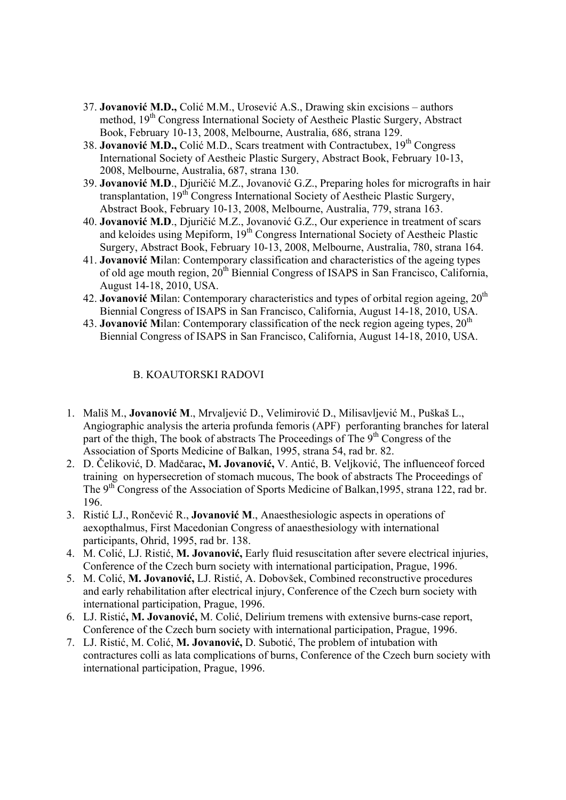- 37. **Jovanović M.D.,** Colić M.M., Urosević A.S., Drawing skin excisions authors method, 19<sup>th</sup> Congress International Society of Aestheic Plastic Surgery, Abstract Book, February 10-13, 2008, Melbourne, Australia, 686, strana 129.
- 38. **Jovanović M.D.,** Colić M.D., Scars treatment with Contractubex, 19<sup>th</sup> Congress International Society of Aestheic Plastic Surgery, Abstract Book, February 10-13, 2008, Melbourne, Australia, 687, strana 130.
- 39. **Jovanović M.D**., Djuričić M.Z., Jovanović G.Z., Preparing holes for micrografts in hair transplantation,  $19<sup>th</sup>$  Congress International Society of Aestheic Plastic Surgery, Abstract Book, February 10-13, 2008, Melbourne, Australia, 779, strana 163.
- 40. **Jovanović M.D**., Djuričić M.Z., Jovanović G.Z., Our experience in treatment of scars and keloides using Mepiform, 19<sup>th</sup> Congress International Society of Aestheic Plastic Surgery, Abstract Book, February 10-13, 2008, Melbourne, Australia, 780, strana 164.
- 41. **Jovanović M**ilan: Contemporary classification and characteristics of the ageing types of old age mouth region,  $20<sup>th</sup>$  Biennial Congress of ISAPS in San Francisco, California, August 14-18, 2010, USA.
- 42. **Jovanović M**ilan: Contemporary characteristics and types of orbital region ageing, 20th Biennial Congress of ISAPS in San Francisco, California, August 14-18, 2010, USA.
- 43. **Jovanović** Milan: Contemporary classification of the neck region ageing types,  $20<sup>th</sup>$ Biennial Congress of ISAPS in San Francisco, California, August 14-18, 2010, USA.

#### B. KOAUTORSKI RADOVI

- 1. Mališ M., **Jovanović M**., Mrvaljević D., Velimirović D., Milisavljević M., Puškaš L., Angiographic analysis the arteria profunda femoris (APF) perforanting branches for lateral part of the thigh, The book of abstracts The Proceedings of The 9<sup>th</sup> Congress of the Association of Sports Medicine of Balkan, 1995, strana 54, rad br. 82.
- 2. D. Čeliković, D. Madčarac**, M. Jovanović,** V. Antić, B. Veljković, The influenceof forced training on hypersecretion of stomach mucous, The book of abstracts The Proceedings of The 9<sup>th</sup> Congress of the Association of Sports Medicine of Balkan, 1995, strana 122, rad br. 196.
- 3. Ristić LJ., Rončević R., **Jovanović M**., Anaesthesiologic aspects in operations of aexopthalmus, First Macedonian Congress of anaesthesiology with international participants, Ohrid, 1995, rad br. 138.
- 4. M. Colić, LJ. Ristić, **M. Jovanović,** Early fluid resuscitation after severe electrical injuries, Conference of the Czech burn society with international participation, Prague, 1996.
- 5. M. Colić, **M. Jovanović,** LJ. Ristić, A. Dobovšek, Combined reconstructive procedures and early rehabilitation after electrical injury, Conference of the Czech burn society with international participation, Prague, 1996.
- 6. LJ. Ristić**, M. Jovanović,** M. Colić, Delirium tremens with extensive burns-case report, Conference of the Czech burn society with international participation, Prague, 1996.
- 7. LJ. Ristić, M. Colić, **M. Jovanović,** D. Subotić, The problem of intubation with contractures colli as lata complications of burns, Conference of the Czech burn society with international participation, Prague, 1996.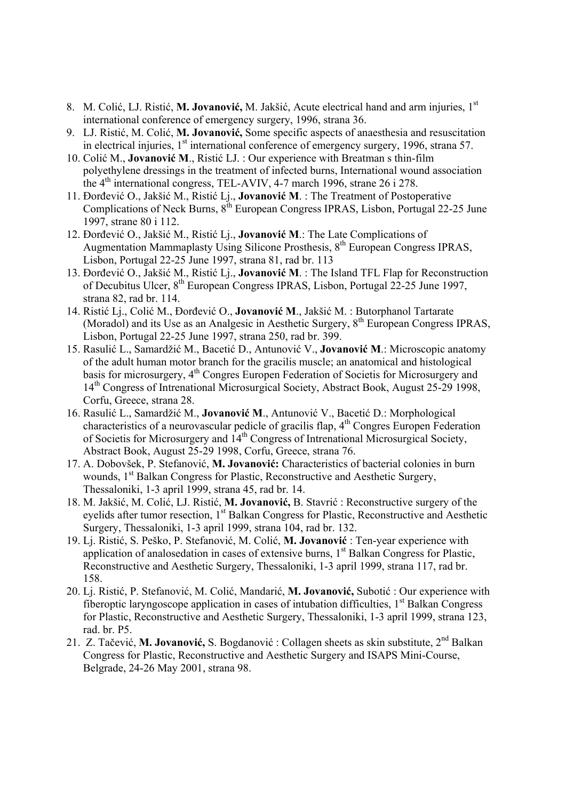- 8. M. Colić, LJ. Ristić, **M. Jovanović,** M. Jakšić, Acute electrical hand and arm injuries, 1st international conference of emergency surgery, 1996, strana 36.
- 9. LJ. Ristić, M. Colić, **M. Jovanović,** Some specific aspects of anaesthesia and resuscitation in electrical injuries,  $1<sup>st</sup>$  international conference of emergency surgery, 1996, strana 57.
- 10. Colić M., **Jovanović M**., Ristić LJ. : Our experience with Breatman s thin-film polyethylene dressings in the treatment of infected burns, International wound association the 4<sup>th</sup> international congress, TEL-AVIV, 4-7 march 1996, strane 26 i 278.
- 11. Đorđević O., Jakšić M., Ristić Lj., **Jovanović M**. : The Treatment of Postoperative Complications of Neck Burns, 8<sup>th</sup> European Congress IPRAS, Lisbon, Portugal 22-25 June 1997, strane 80 i 112.
- 12. Đorđević O., Jakšić M., Ristić Lj., **Jovanović M**.: The Late Complications of Augmentation Mammaplasty Using Silicone Prosthesis, 8<sup>th</sup> European Congress IPRAS, Lisbon, Portugal 22-25 June 1997, strana 81, rad br. 113
- 13. Đorđević O., Jakšić M., Ristić Lj., **Jovanović M**. : The Island TFL Flap for Reconstruction of Decubitus Ulcer, 8th European Congress IPRAS, Lisbon, Portugal 22-25 June 1997, strana 82, rad br. 114.
- 14. Ristić Lj., Colić M., Đorđević O., **Jovanović M**., Jakšić M. : Butorphanol Tartarate (Moradol) and its Use as an Analgesic in Aesthetic Surgery, 8<sup>th</sup> European Congress IPRAS, Lisbon, Portugal 22-25 June 1997, strana 250, rad br. 399.
- 15. Rasulić L., Samardžić M., Bacetić D., Antunović V., **Jovanović M**.: Microscopic anatomy of the adult human motor branch for the gracilis muscle; an anatomical and histological basis for microsurgery, 4<sup>th</sup> Congres Europen Federation of Societis for Microsurgery and 14<sup>th</sup> Congress of Intrenational Microsurgical Society, Abstract Book, August 25-29 1998, Corfu, Greece, strana 28.
- 16. Rasulić L., Samardžić M., **Jovanović M**., Antunović V., Bacetić D.: Morphological characteristics of a neurovascular pedicle of gracilis flap,  $4<sup>th</sup>$  Congres Europen Federation of Societis for Microsurgery and 14th Congress of Intrenational Microsurgical Society, Abstract Book, August 25-29 1998, Corfu, Greece, strana 76.
- 17. A. Dobovšek, P. Stefanović, **M. Jovanović:** Characteristics of bacterial colonies in burn wounds, 1<sup>st</sup> Balkan Congress for Plastic, Reconstructive and Aesthetic Surgery, Thessaloniki, 1-3 april 1999, strana 45, rad br. 14.
- 18. M. Jakšić, M. Colić, LJ. Ristić, **M. Jovanović,** B. Stavrić : Reconstructive surgery of the eyelids after tumor resection, 1<sup>st</sup> Balkan Congress for Plastic, Reconstructive and Aesthetic Surgery, Thessaloniki, 1-3 april 1999, strana 104, rad br. 132.
- 19. Lj. Ristić, S. Peško, P. Stefanović, M. Colić, **M. Jovanović** : Ten-year experience with application of analosedation in cases of extensive burns, 1<sup>st</sup> Balkan Congress for Plastic, Reconstructive and Aesthetic Surgery, Thessaloniki, 1-3 april 1999, strana 117, rad br. 158.
- 20. Lj. Ristić, P. Stefanović, M. Colić, Mandarić, **M. Jovanović,** Subotić : Our experience with fiberoptic laryngoscope application in cases of intubation difficulties,  $1<sup>st</sup>$  Balkan Congress for Plastic, Reconstructive and Aesthetic Surgery, Thessaloniki, 1-3 april 1999, strana 123, rad. br. P5.
- 21. Z. Tačević, **M. Jovanović,** S. Bogdanović : Collagen sheets as skin substitute, 2nd Balkan Congress for Plastic, Reconstructive and Aesthetic Surgery and ISAPS Mini-Course, Belgrade, 24-26 May 2001, strana 98.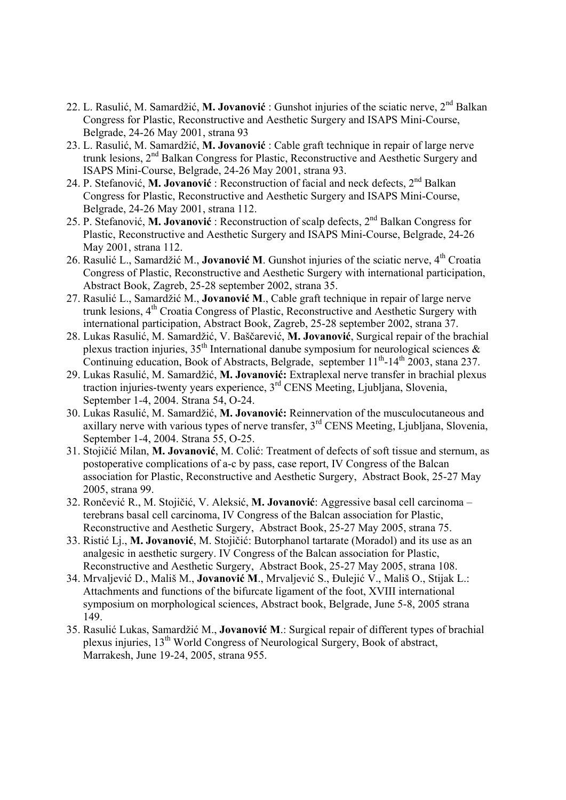- 22. L. Rasulić, M. Samardžić, **M. Jovanović** : Gunshot injuries of the sciatic nerve, 2nd Balkan Congress for Plastic, Reconstructive and Aesthetic Surgery and ISAPS Mini-Course, Belgrade, 24-26 May 2001, strana 93
- 23. L. Rasulić, M. Samardžić, **M. Jovanović** : Cable graft technique in repair of large nerve trunk lesions, 2<sup>nd</sup> Balkan Congress for Plastic, Reconstructive and Aesthetic Surgery and ISAPS Mini-Course, Belgrade, 24-26 May 2001, strana 93.
- 24. P. Stefanović, **M. Jovanović** : Reconstruction of facial and neck defects, 2nd Balkan Congress for Plastic, Reconstructive and Aesthetic Surgery and ISAPS Mini-Course, Belgrade, 24-26 May 2001, strana 112.
- 25. P. Stefanović, **M. Jovanović** : Reconstruction of scalp defects, 2nd Balkan Congress for Plastic, Reconstructive and Aesthetic Surgery and ISAPS Mini-Course, Belgrade, 24-26 May 2001, strana 112.
- 26. Rasulić L., Samardžić M., **Jovanović M**. Gunshot injuries of the sciatic nerve, 4th Croatia Congress of Plastic, Reconstructive and Aesthetic Surgery with international participation, Abstract Book, Zagreb, 25-28 september 2002, strana 35.
- 27. Rasulić L., Samardžić M., **Jovanović M**., Cable graft technique in repair of large nerve trunk lesions, 4th Croatia Congress of Plastic, Reconstructive and Aesthetic Surgery with international participation, Abstract Book, Zagreb, 25-28 september 2002, strana 37.
- 28. Lukas Rasulić, M. Samardžić, V. Baščarević, **M. Jovanović**, Surgical repair of the brachial plexus traction injuries,  $35<sup>th</sup>$  International danube symposium for neurological sciences & Continuing education, Book of Abstracts, Belgrade, september  $11^{th}$ - $14^{th}$ , 2003, stana 237.
- 29. Lukas Rasulić, M. Samardžić, **M. Jovanović:** Extraplexal nerve transfer in brachial plexus traction injuries-twenty years experience, 3rd CENS Meeting, Ljubljana, Slovenia, September 1-4, 2004. Strana 54, O-24.
- 30. Lukas Rasulić, M. Samardžić, **M. Jovanović:** Reinnervation of the musculocutaneous and axillary nerve with various types of nerve transfer,  $3<sup>rd</sup>$  CENS Meeting, Ljubljana, Slovenia, September 1-4, 2004. Strana 55, O-25.
- 31. Stojičić Milan, **M. Jovanović**, M. Colić: Treatment of defects of soft tissue and sternum, as postoperative complications of a-c by pass, case report, IV Congress of the Balcan association for Plastic, Reconstructive and Aesthetic Surgery, Abstract Book, 25-27 May 2005, strana 99.
- 32. Rončević R., M. Stojičić, V. Aleksić, **M. Jovanović**: Aggressive basal cell carcinoma terebrans basal cell carcinoma, IV Congress of the Balcan association for Plastic, Reconstructive and Aesthetic Surgery, Abstract Book, 25-27 May 2005, strana 75.
- 33. Ristić Lj., **M. Jovanović**, M. Stojičić: Butorphanol tartarate (Moradol) and its use as an analgesic in aesthetic surgery. IV Congress of the Balcan association for Plastic, Reconstructive and Aesthetic Surgery, Abstract Book, 25-27 May 2005, strana 108.
- 34. Mrvaljević D., Mališ M., **Jovanović M**., Mrvaljević S., Đulejić V., Mališ O., Stijak L.: Attachments and functions of the bifurcate ligament of the foot, XVIII international symposium on morphological sciences, Abstract book, Belgrade, June 5-8, 2005 strana 149.
- 35. Rasulić Lukas, Samardžić M., **Jovanović M**.: Surgical repair of different types of brachial plexus injuries, 13th World Congress of Neurological Surgery, Book of abstract, Marrakesh, June 19-24, 2005, strana 955.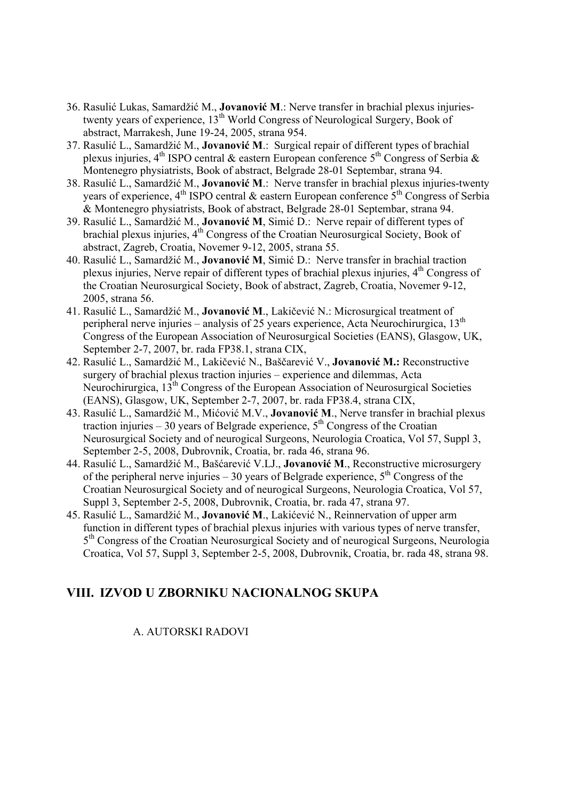- 36. Rasulić Lukas, Samardžić M., **Jovanović M**.: Nerve transfer in brachial plexus injuriestwenty years of experience, 13<sup>th</sup> World Congress of Neurological Surgery, Book of abstract, Marrakesh, June 19-24, 2005, strana 954.
- 37. Rasulić L., Samardžić M., **Jovanović M**.: Surgical repair of different types of brachial plexus injuries,  $4<sup>th</sup>$  ISPO central & eastern European conference  $5<sup>th</sup>$  Congress of Serbia & Montenegro physiatrists, Book of abstract, Belgrade 28-01 Septembar, strana 94.
- 38. Rasulić L., Samardžić M., **Jovanović M**.: Nerve transfer in brachial plexus injuries-twenty years of experience,  $4<sup>th</sup>$  ISPO central & eastern European conference  $5<sup>th</sup>$  Congress of Serbia & Montenegro physiatrists, Book of abstract, Belgrade 28-01 Septembar, strana 94.
- 39. Rasulić L., Samardžić M., **Jovanović M**, Simić D.: Nerve repair of different types of brachial plexus injuries,  $4<sup>th</sup>$  Congress of the Croatian Neurosurgical Society, Book of abstract, Zagreb, Croatia, Novemer 9-12, 2005, strana 55.
- 40. Rasulić L., Samardžić M., **Jovanović M**, Simić D.: Nerve transfer in brachial traction plexus injuries, Nerve repair of different types of brachial plexus injuries,  $4<sup>th</sup>$  Congress of the Croatian Neurosurgical Society, Book of abstract, Zagreb, Croatia, Novemer 9-12, 2005, strana 56.
- 41. Rasulić L., Samardžić M., **Jovanović M**., Lakičević N.: Microsurgical treatment of peripheral nerve injuries – analysis of 25 years experience, Acta Neurochirurgica, 13<sup>th</sup> Congress of the European Association of Neurosurgical Societies (EANS), Glasgow, UK, September 2-7, 2007, br. rada FP38.1, strana CIX,
- 42. Rasulić L., Samardžić M., Lakičević N., Baščarević V., **Jovanović M.:** Reconstructive surgery of brachial plexus traction injuries – experience and dilemmas, Acta Neurochirurgica, 13<sup>th</sup> Congress of the European Association of Neurosurgical Societies (EANS), Glasgow, UK, September 2-7, 2007, br. rada FP38.4, strana CIX,
- 43. Rasulić L., Samardžić M., Mićović M.V., **Jovanović M**., Nerve transfer in brachial plexus traction injuries – 30 years of Belgrade experience,  $5<sup>th</sup>$  Congress of the Croatian Neurosurgical Society and of neurogical Surgeons, Neurologia Croatica, Vol 57, Suppl 3, September 2-5, 2008, Dubrovnik, Croatia, br. rada 46, strana 96.
- 44. Rasulić L., Samardžić M., Bašćarević V.LJ., **Jovanović M**., Reconstructive microsurgery of the peripheral nerve injuries – 30 years of Belgrade experience,  $5<sup>th</sup>$  Congress of the Croatian Neurosurgical Society and of neurogical Surgeons, Neurologia Croatica, Vol 57, Suppl 3, September 2-5, 2008, Dubrovnik, Croatia, br. rada 47, strana 97.
- 45. Rasulić L., Samardžić M., **Jovanović M**., Lakićević N., Reinnervation of upper arm function in different types of brachial plexus injuries with various types of nerve transfer. 5th Congress of the Croatian Neurosurgical Society and of neurogical Surgeons, Neurologia Croatica, Vol 57, Suppl 3, September 2-5, 2008, Dubrovnik, Croatia, br. rada 48, strana 98.

# **VIII. IZVOD U ZBORNIKU NACIONALNOG SKUPA**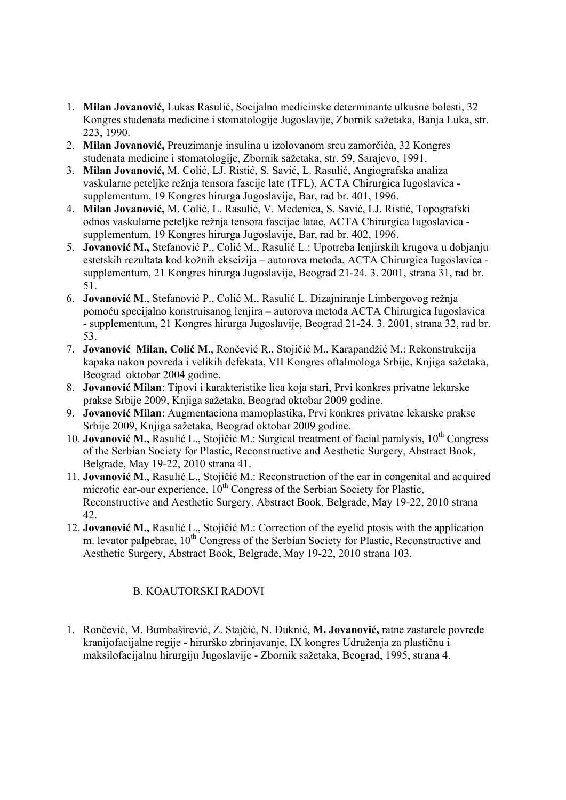- 1. **Milan Jovanović,** Lukas Rasulić, Socijalno medicinske determinante ulkusne bolesti, 32 Kongres studenata medicine i stomatologije Jugoslavije, Zbornik sažetaka, Banja Luka, str. 223, 1990.
- 2. **Milan Jovanović,** Preuzimanje insulina u izolovanom srcu zamorčića, 32 Kongres studenata medicine i stomatologije, Zbornik sažetaka, str. 59, Sarajevo, 1991.
- 3. **Milan Jovanović,** M. Colić, LJ. Ristić, S. Savić, L. Rasulić, Angiografska analiza vaskularne peteljke režnja tensora fascije late (TFL), ACTA Chirurgica Iugoslavica supplementum, 19 Kongres hirurga Jugoslavije, Bar, rad br. 401, 1996.
- 4. **Milan Jovanović,** M. Colić, L. Rasulić, V. Medenica, S. Savić, LJ. Ristić, Topografski odnos vaskularne peteljke režnja tensora fascijae latae, ACTA Chirurgica Iugoslavica supplementum, 19 Kongres hirurga Jugoslavije, Bar, rad br. 402, 1996.
- 5. **Jovanović M.,** Stefanović P., Colić M., Rasulić L.: Upotreba lenjirskih krugova u dobjanju estetskih rezultata kod kožnih ekscizija – autorova metoda, ACTA Chirurgica Iugoslavica supplementum, 21 Kongres hirurga Jugoslavije, Beograd 21-24. 3. 2001, strana 31, rad br. 51.
- 6. **Jovanović M**., Stefanović P., Colić M., Rasulić L. Dizajniranje Limbergovog režnja pomoću specijalno konstruisanog lenjira – autorova metoda ACTA Chirurgica Iugoslavica - supplementum, 21 Kongres hirurga Jugoslavije, Beograd 21-24. 3. 2001, strana 32, rad br. 53.
- 7. **Jovanović Milan, Colić M**., Rončević R., Stojičić M., Karapandžić M.: Rekonstrukcija kapaka nakon povreda i velikih defekata, VII Kongres oftalmologa Srbije, Knjiga sažetaka, Beograd oktobar 2004 godine.
- 8. **Jovanović Milan**: Tipovi i karakteristike lica koja stari, Prvi konkres privatne lekarske prakse Srbije 2009, Knjiga sažetaka, Beograd oktobar 2009 godine.
- 9. **Jovanović Milan**: Augmentaciona mamoplastika, Prvi konkres privatne lekarske prakse Srbije 2009, Knjiga sažetaka, Beograd oktobar 2009 godine.
- 10. **Jovanović** M., Rasulić L., Stojičić M.: Surgical treatment of facial paralysis, 10<sup>th</sup> Congress of the Serbian Society for Plastic, Reconstructive and Aesthetic Surgery, Abstract Book, Belgrade, May 19-22, 2010 strana 41.
- 11. **Jovanović M**., Rasulić L., Stojičić M.: Reconstruction of the ear in congenital and acquired microtic ear-our experience,  $10<sup>th</sup>$  Congress of the Serbian Society for Plastic, Reconstructive and Aesthetic Surgery, Abstract Book, Belgrade, May 19-22, 2010 strana 42.
- 12. **Jovanović M.,** Rasulić L., Stojičić M.: Correction of the eyelid ptosis with the application m. levator palpebrae,  $10<sup>th</sup>$  Congress of the Serbian Society for Plastic, Reconstructive and Aesthetic Surgery, Abstract Book, Belgrade, May 19-22, 2010 strana 103.

# B. KOAUTORSKI RADOVI

1. Rončević, M. Bumbaširević, Z. Stajčić, N. Đuknić, **M. Jovanović,** ratne zastarele povrede kranijofacijalne regije - hirurško zbrinjavanje, IX kongres Udruženja za plastičnu i maksilofacijalnu hirurgiju Jugoslavije - Zbornik sažetaka, Beograd, 1995, strana 4.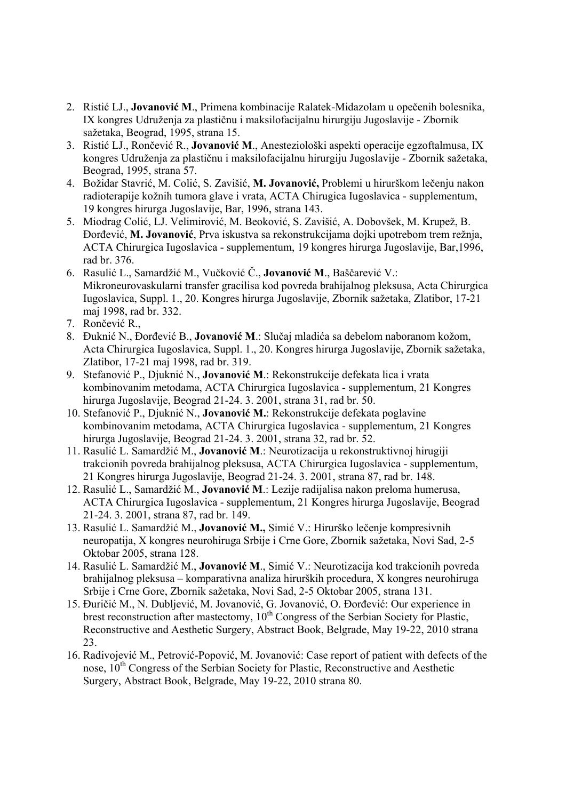- 2. Ristić LJ., **Jovanović M**., Primena kombinacije Ralatek-Midazolam u opečenih bolesnika, IX kongres Udruženja za plastičnu i maksilofacijalnu hirurgiju Jugoslavije - Zbornik sažetaka, Beograd, 1995, strana 15.
- 3. Ristić LJ., Rončević R., **Jovanović M**., Anesteziološki aspekti operacije egzoftalmusa, IX kongres Udruženja za plastičnu i maksilofacijalnu hirurgiju Jugoslavije - Zbornik sažetaka, Beograd, 1995, strana 57.
- 4. Božidar Stavrić, M. Colić, S. Zavišić, **M. Jovanović,** Problemi u hirurškom lečenju nakon radioterapije kožnih tumora glave i vrata, ACTA Chirugica Iugoslavica - supplementum, 19 kongres hirurga Jugoslavije, Bar, 1996, strana 143.
- 5. Miodrag Colić, LJ. Velimirović, M. Beoković, S. Zavišić, A. Dobovšek, M. Krupež, B. Đorđević, **M. Jovanović**, Prva iskustva sa rekonstrukcijama dojki upotrebom trem režnja, ACTA Chirurgica Iugoslavica - supplementum, 19 kongres hirurga Jugoslavije, Bar,1996, rad br. 376.
- 6. Rasulić L., Samardžić M., Vučković Č., **Jovanović M**., Baščarević V.: Mikroneurovaskularni transfer gracilisa kod povreda brahijalnog pleksusa, Acta Chirurgica Iugoslavica, Suppl. 1., 20. Kongres hirurga Jugoslavije, Zbornik sažetaka, Zlatibor, 17-21 maj 1998, rad br. 332.
- 7. Rončević R.,
- 8. Đuknić N., Đorđević B., **Jovanović M**.: Slučaj mladića sa debelom naboranom kožom, Acta Chirurgica Iugoslavica, Suppl. 1., 20. Kongres hirurga Jugoslavije, Zbornik sažetaka, Zlatibor, 17-21 maj 1998, rad br. 319.
- 9. Stefanović P., Djuknić N., **Jovanović M**.: Rekonstrukcije defekata lica i vrata kombinovanim metodama, ACTA Chirurgica Iugoslavica - supplementum, 21 Kongres hirurga Jugoslavije, Beograd 21-24. 3. 2001, strana 31, rad br. 50.
- 10. Stefanović P., Djuknić N., **Jovanović M.**: Rekonstrukcije defekata poglavine kombinovanim metodama, ACTA Chirurgica Iugoslavica - supplementum, 21 Kongres hirurga Jugoslavije, Beograd 21-24. 3. 2001, strana 32, rad br. 52.
- 11. Rasulić L. Samardžić M., **Jovanović M**.: Neurotizacija u rekonstruktivnoj hirugiji trakcionih povreda brahijalnog pleksusa, ACTA Chirurgica Iugoslavica - supplementum, 21 Kongres hirurga Jugoslavije, Beograd 21-24. 3. 2001, strana 87, rad br. 148.
- 12. Rasulić L., Samardžić M., **Jovanović M**.: Lezije radijalisa nakon preloma humerusa, ACTA Chirurgica Iugoslavica - supplementum, 21 Kongres hirurga Jugoslavije, Beograd 21-24. 3. 2001, strana 87, rad br. 149.
- 13. Rasulić L. Samardžić M., **Jovanović M.,** Simić V.: Hirurško lečenje kompresivnih neuropatija, X kongres neurohiruga Srbije i Crne Gore, Zbornik sažetaka, Novi Sad, 2-5 Oktobar 2005, strana 128.
- 14. Rasulić L. Samardžić M., **Jovanović M**., Simić V.: Neurotizacija kod trakcionih povreda brahijalnog pleksusa – komparativna analiza hirurških procedura, X kongres neurohiruga Srbije i Crne Gore, Zbornik sažetaka, Novi Sad, 2-5 Oktobar 2005, strana 131.
- 15. Đuričić M., N. Dubljević, M. Jovanović, G. Jovanović, O. Đorđević: Our experience in brest reconstruction after mastectomy,  $10<sup>th</sup>$  Congress of the Serbian Society for Plastic, Reconstructive and Aesthetic Surgery, Abstract Book, Belgrade, May 19-22, 2010 strana 23.
- 16. Radivojević M., Petrović-Popović, M. Jovanović: Case report of patient with defects of the nose,  $10<sup>th</sup>$  Congress of the Serbian Society for Plastic, Reconstructive and Aesthetic Surgery, Abstract Book, Belgrade, May 19-22, 2010 strana 80.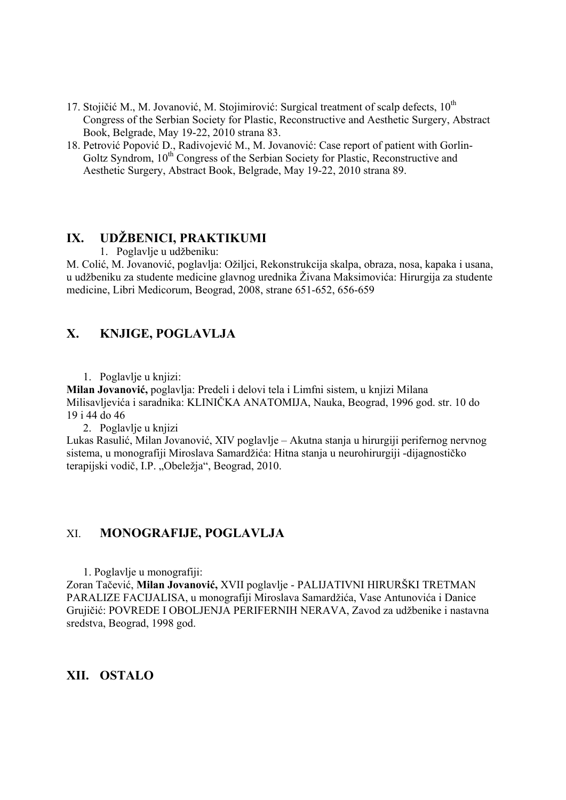- 17. Stojičić M., M. Jovanović, M. Stojimirović: Surgical treatment of scalp defects,  $10^{th}$ Congress of the Serbian Society for Plastic, Reconstructive and Aesthetic Surgery, Abstract Book, Belgrade, May 19-22, 2010 strana 83.
- 18. Petrović Popović D., Radivojević M., M. Jovanović: Case report of patient with Gorlin-Goltz Syndrom, 10<sup>th</sup> Congress of the Serbian Society for Plastic, Reconstructive and Aesthetic Surgery, Abstract Book, Belgrade, May 19-22, 2010 strana 89.

# **IX. UDŽBENICI, PRAKTIKUMI**

1. Poglavlje u udžbeniku:

M. Colić, M. Jovanović, poglavlja: Ožiljci, Rekonstrukcija skalpa, obraza, nosa, kapaka i usana, u udžbeniku za studente medicine glavnog urednika Živana Maksimovića: Hirurgija za studente medicine, Libri Medicorum, Beograd, 2008, strane 651-652, 656-659

# **X. KNJIGE, POGLAVLJA**

1. Poglavlje u knjizi:

**Milan Jovanović,** poglavlja: Predeli i delovi tela i Limfni sistem, u knjizi Milana Milisavljevića i saradnika: KLINIČKA ANATOMIJA, Nauka, Beograd, 1996 god. str. 10 do 19 i 44 do 46

2. Poglavlje u knjizi

Lukas Rasulić, Milan Jovanović, XIV poglavlje – Akutna stanja u hirurgiji perifernog nervnog sistema, u monografiji Miroslava Samardžića: Hitna stanja u neurohirurgiji -dijagnostičko terapijski vodič, I.P. "Obeležja", Beograd, 2010.

#### XI. **MONOGRAFIJE, POGLAVLJA**

1. Poglavlje u monografiji:

Zoran Tačević, **Milan Jovanović,** XVII poglavlje - PALIJATIVNI HIRURŠKI TRETMAN PARALIZE FACIJALISA, u monografiji Miroslava Samardžića, Vase Antunovića i Danice Grujičić: POVREDE I OBOLJENJA PERIFERNIH NERAVA, Zavod za udžbenike i nastavna sredstva, Beograd, 1998 god.

**XII. OSTALO**